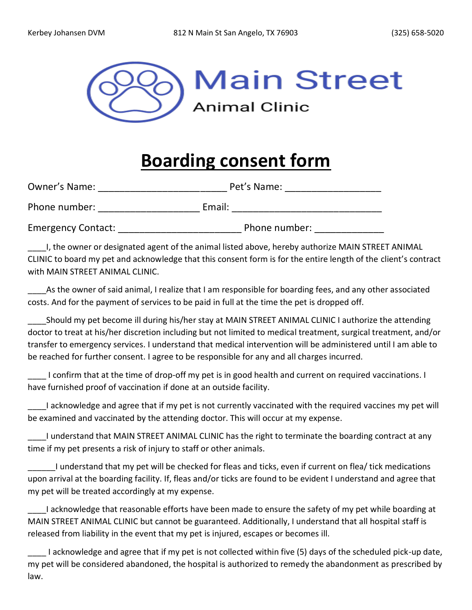

## **Boarding consent form**

| Owner's Name:             | Pet's Name:   |
|---------------------------|---------------|
| Phone number:             | Email:        |
| <b>Emergency Contact:</b> | Phone number: |

I, the owner or designated agent of the animal listed above, hereby authorize MAIN STREET ANIMAL CLINIC to board my pet and acknowledge that this consent form is for the entire length of the client's contract with MAIN STREET ANIMAL CLINIC.

As the owner of said animal, I realize that I am responsible for boarding fees, and any other associated costs. And for the payment of services to be paid in full at the time the pet is dropped off.

\_\_\_\_Should my pet become ill during his/her stay at MAIN STREET ANIMAL CLINIC I authorize the attending doctor to treat at his/her discretion including but not limited to medical treatment, surgical treatment, and/or transfer to emergency services. I understand that medical intervention will be administered until I am able to be reached for further consent. I agree to be responsible for any and all charges incurred.

\_\_\_\_ I confirm that at the time of drop-off my pet is in good health and current on required vaccinations. I have furnished proof of vaccination if done at an outside facility.

I acknowledge and agree that if my pet is not currently vaccinated with the required vaccines my pet will be examined and vaccinated by the attending doctor. This will occur at my expense.

I understand that MAIN STREET ANIMAL CLINIC has the right to terminate the boarding contract at any time if my pet presents a risk of injury to staff or other animals.

\_\_\_\_\_\_I understand that my pet will be checked for fleas and ticks, even if current on flea/ tick medications upon arrival at the boarding facility. If, fleas and/or ticks are found to be evident I understand and agree that my pet will be treated accordingly at my expense.

I acknowledge that reasonable efforts have been made to ensure the safety of my pet while boarding at MAIN STREET ANIMAL CLINIC but cannot be guaranteed. Additionally, I understand that all hospital staff is released from liability in the event that my pet is injured, escapes or becomes ill.

I acknowledge and agree that if my pet is not collected within five (5) days of the scheduled pick-up date, my pet will be considered abandoned, the hospital is authorized to remedy the abandonment as prescribed by law.